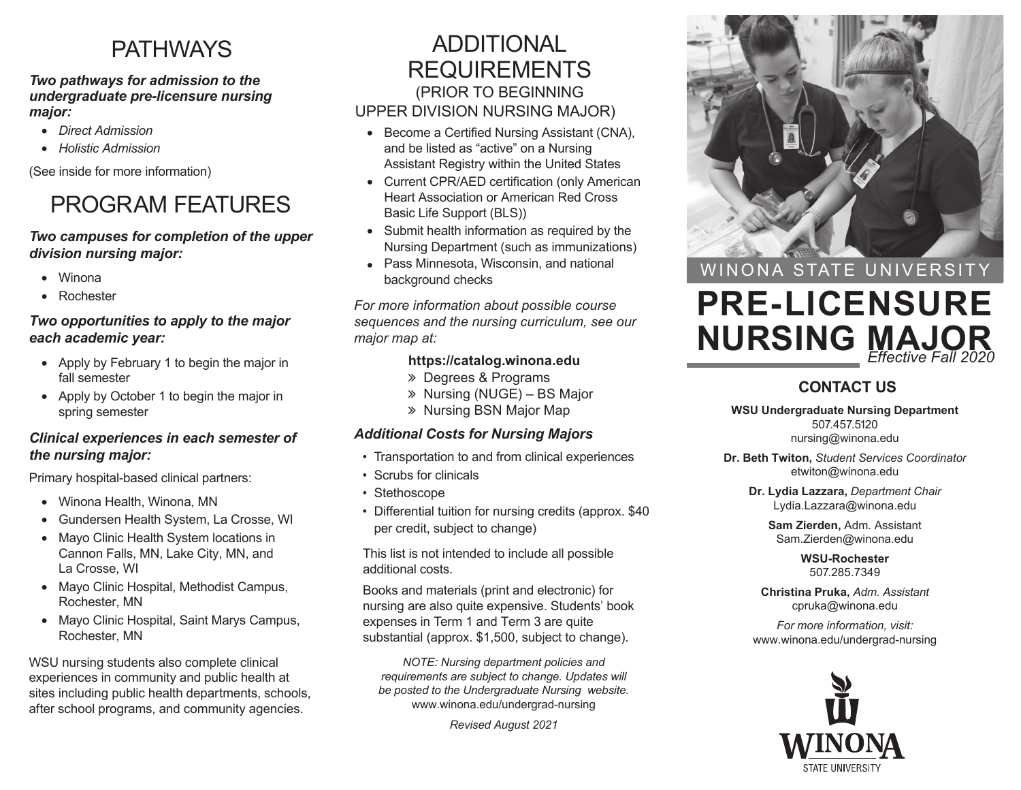# PATHWAYS

#### *Two pathways for admission to the undergraduate pre-licensure nursing major:*

- *Direct Admission*
- *Holistic Admission*

(See inside for more information)

# PROGRAM FEATURES

#### *Two campuses for completion of the upper division nursing major:*

- Winona
- Rochester

#### *Two opportunities to apply to the major each academic year:*

- Apply by February 1 to begin the major in fall semester
- Apply by October 1 to begin the major in spring semester

#### *Clinical experiences in each semester of the nursing major:*

Primary hospital-based clinical partners:

- Winona Health, Winona, MN
- Gundersen Health System, La Crosse, WI
- Mayo Clinic Health System locations in Cannon Falls, MN, Lake City, MN, and La Crosse, WI
- Mayo Clinic Hospital, Methodist Campus, Rochester, MN
- Mayo Clinic Hospital, Saint Marys Campus, Rochester, MN

WSU nursing students also complete clinical experiences in community and public health at sites including public health departments, schools, after school programs, and community agencies.

### ADDITIONAL REQUIREMENTS (PRIOR TO BEGINNING UPPER DIVISION NURSING MAJOR)

- Become a Certified Nursing Assistant (CNA), and be listed as "active" on a Nursing Assistant Registry within the United States
- Current CPR/AED certification (only American Heart Association or American Red Cross Basic Life Support (BLS))
- Submit health information as required by the Nursing Department (such as immunizations)
- Pass Minnesota, Wisconsin, and national background checks

*For more information about possible course*  maior map at:

#### **https://catalog.winona.edu**

- Degrees & Programs
- » Nursing (NUGE) BS Major
- » Nursing BSN Major Map

#### *Additional Costs for Nursing Majors*

- Transportation to and from clinical experiences
- Scrubs for clinicals
- Stethoscope
- Differential tuition for nursing credits (approx. \$40 per credit, subject to change)

This list is not intended to include all possible additional costs.

Books and materials (print and electronic) for nursing are also quite expensive. Students' book expenses in Term 1 and Term 3 are quite substantial (approx. \$1,500, subject to change).

*NOTE: Nursing department policies and requirements are subject to change. Updates will be posted to the Undergraduate Nursing website.*  www.winona.edu/undergrad-nursing

*Revised August 2021*



WINONA STATE UNIVERSITY

# **PRE-LICENSURE NURSING MAJOR** *Effective Fall 2020*

#### **CONTACT US**

**WSU Undergraduate Nursing Department** 507.457.5120 nursing@winona.edu

**Dr. Beth Twiton,** *Student Services Coordinator* etwiton@winona.edu

**Dr. Lydia Lazzara,** *Department Chair* Lydia.Lazzara@winona.edu

**Sam Zierden,** Adm. Assistant Sam.Zierden@winona.edu

> **WSU-Rochester** 507.285.7349

**Christina Pruka,** *Adm. Assistant* cpruka@winona.edu

*For more information, visit:* www.winona.edu/undergrad-nursing